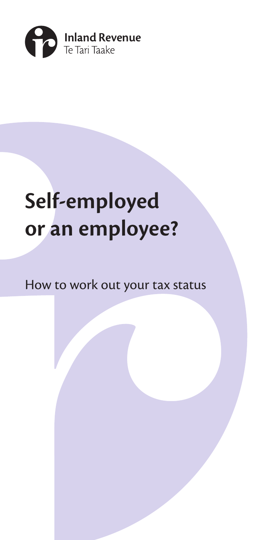

# **Self-employed or an employee?**

### How to work out your tax status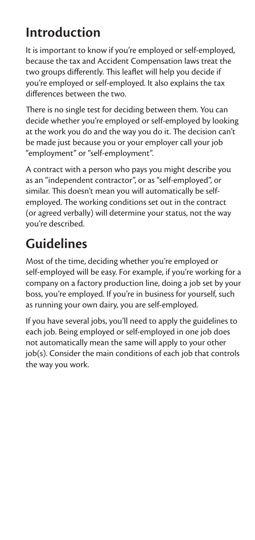### **Introduction**

It is important to know if you're employed or self-employed, because the tax and Accident Compensation laws treat the two groups differently. This leaflet will help you decide if you're employed or self-employed. It also explains the tax differences between the two.

There is no single test for deciding between them. You can decide whether you're employed or self-employed by looking at the work you do and the way you do it. The decision can't be made just because you or your employer call your job "employment" or "self-employment".

A contract with a person who pays you might describe you as an "independent contractor", or as "self-employed", or similar. This doesn't mean you will automatically be selfemployed. The working conditions set out in the contract (or agreed verbally) will determine your status, not the way you're described.

### **Guidelines**

Most of the time, deciding whether you're employed or self-employed will be easy. For example, if you're working for a company on a factory production line, doing a job set by your boss, you're employed. If you're in business for yourself, such as running your own dairy, you are self-employed.

If you have several jobs, you'll need to apply the guidelines to each job. Being employed or self-employed in one job does not automatically mean the same will apply to your other job(s). Consider the main conditions of each job that controls the way you work.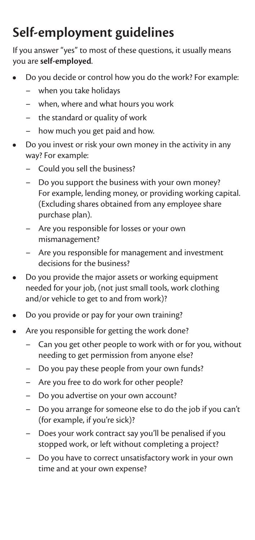## **Self-employment guidelines**

If you answer "yes" to most of these questions, it usually means you are **self-employed**.

- Do you decide or control how you do the work? For example:
	- when you take holidays
	- when, where and what hours you work
	- the standard or quality of work
	- how much you get paid and how.
- Do you invest or risk your own money in the activity in any way? For example:
	- Could you sell the business?
	- Do you support the business with your own money? For example, lending money, or providing working capital. (Excluding shares obtained from any employee share purchase plan).
	- Are you responsible for losses or your own mismanagement?
	- Are you responsible for management and investment decisions for the business?
- Do you provide the major assets or working equipment needed for your job, (not just small tools, work clothing and/or vehicle to get to and from work)?
- Do you provide or pay for your own training?
- Are you responsible for getting the work done?
	- Can you get other people to work with or for you, without needing to get permission from anyone else?
	- Do you pay these people from your own funds?
	- Are you free to do work for other people?
	- Do you advertise on your own account?
	- Do you arrange for someone else to do the job if you can't (for example, if you're sick)?
	- Does your work contract say you'll be penalised if you stopped work, or left without completing a project?
	- Do you have to correct unsatisfactory work in your own time and at your own expense?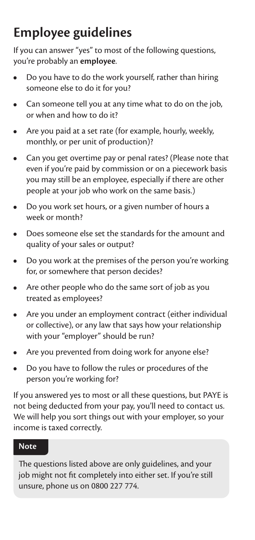### **Employee guidelines**

If you can answer "yes" to most of the following questions, you're probably an **employee**.

- Do you have to do the work yourself, rather than hiring someone else to do it for you?
- Can someone tell you at any time what to do on the job, or when and how to do it?
- Are you paid at a set rate (for example, hourly, weekly, monthly, or per unit of production)?
- Can you get overtime pay or penal rates? (Please note that even if you're paid by commission or on a piecework basis you may still be an employee, especially if there are other people at your job who work on the same basis.)
- Do you work set hours, or a given number of hours a week or month?
- Does someone else set the standards for the amount and quality of your sales or output?
- Do you work at the premises of the person you're working for, or somewhere that person decides?
- Are other people who do the same sort of job as you treated as employees?
- Are you under an employment contract (either individual or collective), or any law that says how your relationship with your "employer" should be run?
- Are you prevented from doing work for anyone else?
- Do you have to follow the rules or procedures of the person you're working for?

If you answered yes to most or all these questions, but PAYE is not being deducted from your pay, you'll need to contact us. We will help you sort things out with your employer, so your income is taxed correctly.

#### **Note**

The questions listed above are only guidelines, and your job might not fit completely into either set. If you're still unsure, phone us on 0800 227 774.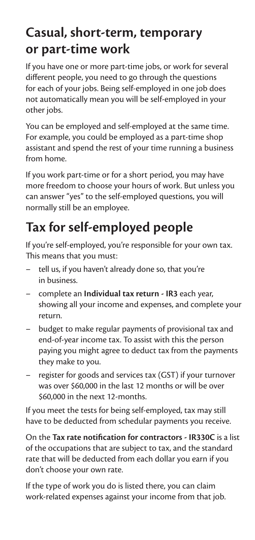### **Casual, short-term, temporary or part-time work**

If you have one or more part-time jobs, or work for several different people, you need to go through the questions for each of your jobs. Being self-employed in one job does not automatically mean you will be self-employed in your other jobs.

You can be employed and self-employed at the same time. For example, you could be employed as a part-time shop assistant and spend the rest of your time running a business from home.

If you work part-time or for a short period, you may have more freedom to choose your hours of work. But unless you can answer "yes" to the self-employed questions, you will normally still be an employee.

### **Tax for self-employed people**

If you're self-employed, you're responsible for your own tax. This means that you must:

- tell us, if you haven't already done so, that you're in business.
- complete an **Individual tax return IR3** each year, showing all your income and expenses, and complete your return.
- budget to make regular payments of provisional tax and end-of-year income tax. To assist with this the person paying you might agree to deduct tax from the payments they make to you.
- register for goods and services tax (GST) if your turnover was over \$60,000 in the last 12 months or will be over \$60,000 in the next 12-months.

If you meet the tests for being self-employed, tax may still have to be deducted from schedular payments you receive.

On the **Tax rate notification for contractors - IR330C** is a list of the occupations that are subject to tax, and the standard rate that will be deducted from each dollar you earn if you don't choose your own rate.

If the type of work you do is listed there, you can claim work-related expenses against your income from that job.